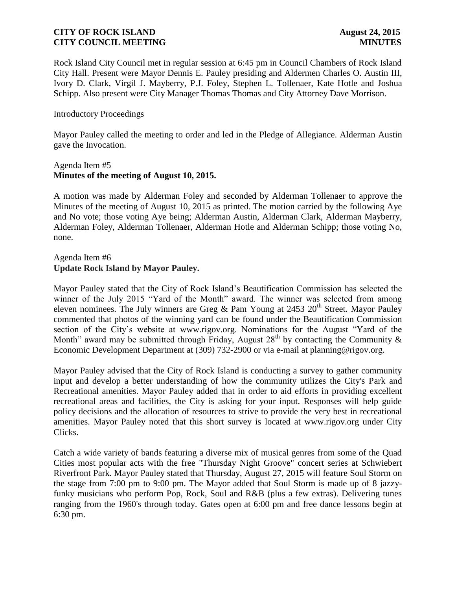Rock Island City Council met in regular session at 6:45 pm in Council Chambers of Rock Island City Hall. Present were Mayor Dennis E. Pauley presiding and Aldermen Charles O. Austin III, Ivory D. Clark, Virgil J. Mayberry, P.J. Foley, Stephen L. Tollenaer, Kate Hotle and Joshua Schipp. Also present were City Manager Thomas Thomas and City Attorney Dave Morrison.

#### Introductory Proceedings

Mayor Pauley called the meeting to order and led in the Pledge of Allegiance. Alderman Austin gave the Invocation.

#### Agenda Item #5 **Minutes of the meeting of August 10, 2015.**

A motion was made by Alderman Foley and seconded by Alderman Tollenaer to approve the Minutes of the meeting of August 10, 2015 as printed. The motion carried by the following Aye and No vote; those voting Aye being; Alderman Austin, Alderman Clark, Alderman Mayberry, Alderman Foley, Alderman Tollenaer, Alderman Hotle and Alderman Schipp; those voting No, none.

#### Agenda Item #6 **Update Rock Island by Mayor Pauley.**

Mayor Pauley stated that the City of Rock Island's Beautification Commission has selected the winner of the July 2015 "Yard of the Month" award. The winner was selected from among eleven nominees. The July winners are Greg & Pam Young at 2453  $20^{th}$  Street. Mayor Pauley commented that photos of the winning yard can be found under the Beautification Commission section of the City's website at www.rigov.org. Nominations for the August "Yard of the Month" award may be submitted through Friday, August  $28<sup>th</sup>$  by contacting the Community & Economic Development Department at (309) 732-2900 or via e-mail at planning@rigov.org.

Mayor Pauley advised that the City of Rock Island is conducting a survey to gather community input and develop a better understanding of how the community utilizes the City's Park and Recreational amenities. Mayor Pauley added that in order to aid efforts in providing excellent recreational areas and facilities, the City is asking for your input. Responses will help guide policy decisions and the allocation of resources to strive to provide the very best in recreational amenities. Mayor Pauley noted that this short survey is located at www.rigov.org under City Clicks.

Catch a wide variety of bands featuring a diverse mix of musical genres from some of the Quad Cities most popular acts with the free "Thursday Night Groove" concert series at Schwiebert Riverfront Park. Mayor Pauley stated that Thursday, August 27, 2015 will feature Soul Storm on the stage from 7:00 pm to 9:00 pm. The Mayor added that Soul Storm is made up of 8 jazzyfunky musicians who perform Pop, Rock, Soul and R&B (plus a few extras). Delivering tunes ranging from the 1960's through today. Gates open at 6:00 pm and free dance lessons begin at 6:30 pm.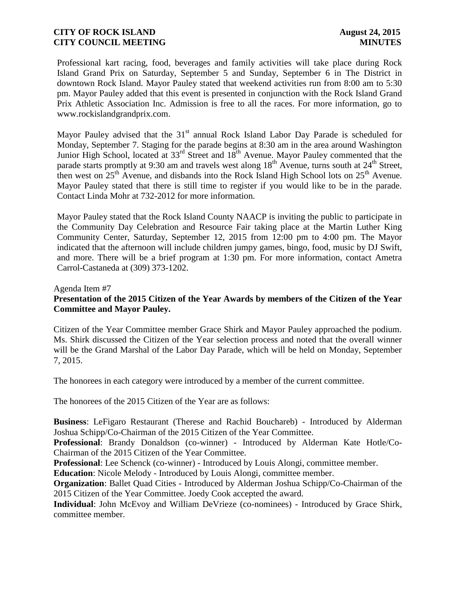Professional kart racing, food, beverages and family activities will take place during Rock Island Grand Prix on Saturday, September 5 and Sunday, September 6 in The District in downtown Rock Island. Mayor Pauley stated that weekend activities run from 8:00 am to 5:30 pm. Mayor Pauley added that this event is presented in conjunction with the Rock Island Grand Prix Athletic Association Inc. Admission is free to all the races. For more information, go to www.rockislandgrandprix.com.

Mayor Pauley advised that the  $31<sup>st</sup>$  annual Rock Island Labor Day Parade is scheduled for Monday, September 7. Staging for the parade begins at 8:30 am in the area around Washington Junior High School, located at 33<sup>rd</sup> Street and 18<sup>th</sup> Avenue. Mayor Pauley commented that the parade starts promptly at 9:30 am and travels west along 18<sup>th</sup> Avenue, turns south at 24<sup>th</sup> Street, then west on  $25<sup>th</sup>$  Avenue, and disbands into the Rock Island High School lots on  $25<sup>th</sup>$  Avenue. Mayor Pauley stated that there is still time to register if you would like to be in the parade. Contact Linda Mohr at 732-2012 for more information.

Mayor Pauley stated that the Rock Island County NAACP is inviting the public to participate in the Community Day Celebration and Resource Fair taking place at the Martin Luther King Community Center, Saturday, September 12, 2015 from 12:00 pm to 4:00 pm. The Mayor indicated that the afternoon will include children jumpy games, bingo, food, music by DJ Swift, and more. There will be a brief program at 1:30 pm. For more information, contact Ametra Carrol-Castaneda at (309) 373-1202.

#### Agenda Item #7

# **Presentation of the 2015 Citizen of the Year Awards by members of the Citizen of the Year Committee and Mayor Pauley.**

Citizen of the Year Committee member Grace Shirk and Mayor Pauley approached the podium. Ms. Shirk discussed the Citizen of the Year selection process and noted that the overall winner will be the Grand Marshal of the Labor Day Parade, which will be held on Monday, September 7, 2015.

The honorees in each category were introduced by a member of the current committee.

The honorees of the 2015 Citizen of the Year are as follows:

**Business**: LeFigaro Restaurant (Therese and Rachid Bouchareb) - Introduced by Alderman Joshua Schipp/Co-Chairman of the 2015 Citizen of the Year Committee.

**Professional**: Brandy Donaldson (co-winner) - Introduced by Alderman Kate Hotle/Co-Chairman of the 2015 Citizen of the Year Committee.

**Professional**: Lee Schenck (co-winner) - Introduced by Louis Alongi, committee member.

**Education**: Nicole Melody - Introduced by Louis Alongi, committee member.

**Organization**: Ballet Quad Cities - Introduced by Alderman Joshua Schipp/Co-Chairman of the 2015 Citizen of the Year Committee. Joedy Cook accepted the award.

**Individual**: John McEvoy and William DeVrieze (co-nominees) - Introduced by Grace Shirk, committee member.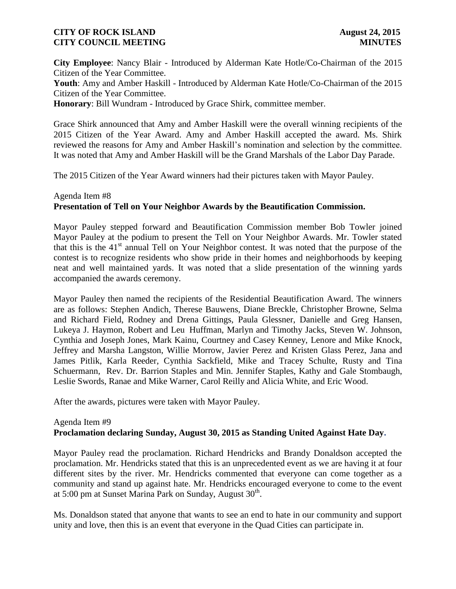**City Employee**: Nancy Blair - Introduced by Alderman Kate Hotle/Co-Chairman of the 2015 Citizen of the Year Committee.

**Youth**: Amy and Amber Haskill - Introduced by Alderman Kate Hotle/Co-Chairman of the 2015 Citizen of the Year Committee.

**Honorary**: Bill Wundram - Introduced by Grace Shirk, committee member.

Grace Shirk announced that Amy and Amber Haskill were the overall winning recipients of the 2015 Citizen of the Year Award. Amy and Amber Haskill accepted the award. Ms. Shirk reviewed the reasons for Amy and Amber Haskill's nomination and selection by the committee. It was noted that Amy and Amber Haskill will be the Grand Marshals of the Labor Day Parade.

The 2015 Citizen of the Year Award winners had their pictures taken with Mayor Pauley.

# Agenda Item #8 **Presentation of Tell on Your Neighbor Awards by the Beautification Commission.**

Mayor Pauley stepped forward and Beautification Commission member Bob Towler joined Mayor Pauley at the podium to present the Tell on Your Neighbor Awards. Mr. Towler stated that this is the 41<sup>st</sup> annual Tell on Your Neighbor contest. It was noted that the purpose of the contest is to recognize residents who show pride in their homes and neighborhoods by keeping neat and well maintained yards. It was noted that a slide presentation of the winning yards accompanied the awards ceremony.

Mayor Pauley then named the recipients of the Residential Beautification Award. The winners are as follows: Stephen Andich, Therese Bauwens, Diane Breckle, Christopher Browne, Selma and Richard Field, Rodney and Drena Gittings, Paula Glessner, Danielle and Greg Hansen, Lukeya J. Haymon, Robert and Leu Huffman, Marlyn and Timothy Jacks, Steven W. Johnson, Cynthia and Joseph Jones, Mark Kainu, Courtney and Casey Kenney, Lenore and Mike Knock, Jeffrey and Marsha Langston, Willie Morrow, Javier Perez and Kristen Glass Perez, Jana and James Pitlik, Karla Reeder, Cynthia Sackfield, Mike and Tracey Schulte, Rusty and Tina Schuermann, Rev. Dr. Barrion Staples and Min. Jennifer Staples, Kathy and Gale Stombaugh, Leslie Swords, Ranae and Mike Warner, Carol Reilly and Alicia White, and Eric Wood.

After the awards, pictures were taken with Mayor Pauley.

### Agenda Item #9 **Proclamation declaring [Sunday, August 30, 2015 as Standing United Against Hate Day.](http://rigov.org/DocumentCenter/View/8773)**

Mayor Pauley read the proclamation. Richard Hendricks and Brandy Donaldson accepted the proclamation. Mr. Hendricks stated that this is an unprecedented event as we are having it at four different sites by the river. Mr. Hendricks commented that everyone can come together as a community and stand up against hate. Mr. Hendricks encouraged everyone to come to the event at 5:00 pm at Sunset Marina Park on Sunday, August  $30<sup>th</sup>$ .

Ms. Donaldson stated that anyone that wants to see an end to hate in our community and support unity and love, then this is an event that everyone in the Quad Cities can participate in.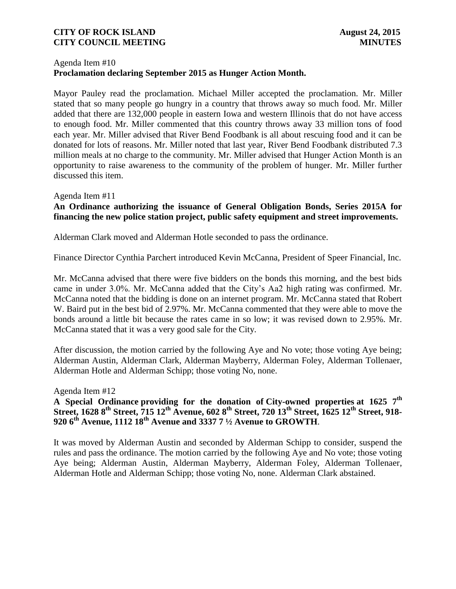#### Agenda Item #10 **Proclamation declaring September 2015 as Hunger Action Month.**

Mayor Pauley read the proclamation. Michael Miller accepted the proclamation. Mr. Miller stated that so many people go hungry in a country that throws away so much food. Mr. Miller added that there are 132,000 people in eastern Iowa and western Illinois that do not have access to enough food. Mr. Miller commented that this country throws away 33 million tons of food each year. Mr. Miller advised that River Bend Foodbank is all about rescuing food and it can be donated for lots of reasons. Mr. Miller noted that last year, River Bend Foodbank distributed 7.3 million meals at no charge to the community. Mr. Miller advised that Hunger Action Month is an opportunity to raise awareness to the community of the problem of hunger. Mr. Miller further discussed this item.

#### Agenda Item #11

#### **An Ordinance authorizing the issuance of General Obligation Bonds, Series 2015A for financing the new police station project, public safety equipment and street improvements.**

Alderman Clark moved and Alderman Hotle seconded to pass the ordinance.

Finance Director Cynthia Parchert introduced Kevin McCanna, President of Speer Financial, Inc.

Mr. McCanna advised that there were five bidders on the bonds this morning, and the best bids came in under 3.0%. Mr. McCanna added that the City's Aa2 high rating was confirmed. Mr. McCanna noted that the bidding is done on an internet program. Mr. McCanna stated that Robert W. Baird put in the best bid of 2.97%. Mr. McCanna commented that they were able to move the bonds around a little bit because the rates came in so low; it was revised down to 2.95%. Mr. McCanna stated that it was a very good sale for the City.

After discussion, the motion carried by the following Aye and No vote; those voting Aye being; Alderman Austin, Alderman Clark, Alderman Mayberry, Alderman Foley, Alderman Tollenaer, Alderman Hotle and Alderman Schipp; those voting No, none.

#### Agenda Item #12

### **A Special Ordinance providing for the donation of City-owned properties at 1625 7th Street, 1628 8th Street, 715 12th Avenue, 602 8th Street, 720 13th Street, 1625 12th Street, 918- 920 6th Avenue, 1112 18th Avenue and 3337 7 ½ Avenue to GROWTH**.

It was moved by Alderman Austin and seconded by Alderman Schipp to consider, suspend the rules and pass the ordinance. The motion carried by the following Aye and No vote; those voting Aye being; Alderman Austin, Alderman Mayberry, Alderman Foley, Alderman Tollenaer, Alderman Hotle and Alderman Schipp; those voting No, none. Alderman Clark abstained.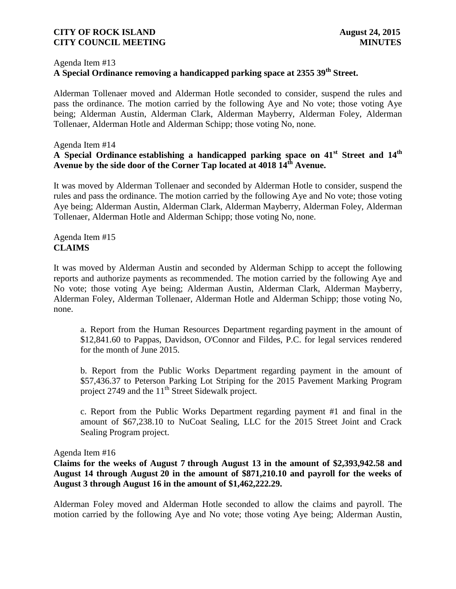#### Agenda Item #13

# **A Special Ordinance removing a handicapped parking space at 2355 39th Street.**

Alderman Tollenaer moved and Alderman Hotle seconded to consider, suspend the rules and pass the ordinance. The motion carried by the following Aye and No vote; those voting Aye being; Alderman Austin, Alderman Clark, Alderman Mayberry, Alderman Foley, Alderman Tollenaer, Alderman Hotle and Alderman Schipp; those voting No, none.

#### Agenda Item #14

### **A Special Ordinance establishing a handicapped parking space on 41st Street and 14th Avenue by the side door of the Corner Tap located at 4018 14th Avenue.**

It was moved by Alderman Tollenaer and seconded by Alderman Hotle to consider, suspend the rules and pass the ordinance. The motion carried by the following Aye and No vote; those voting Aye being; Alderman Austin, Alderman Clark, Alderman Mayberry, Alderman Foley, Alderman Tollenaer, Alderman Hotle and Alderman Schipp; those voting No, none.

#### Agenda Item #15 **CLAIMS**

It was moved by Alderman Austin and seconded by Alderman Schipp to accept the following reports and authorize payments as recommended. The motion carried by the following Aye and No vote; those voting Aye being; Alderman Austin, Alderman Clark, Alderman Mayberry, Alderman Foley, Alderman Tollenaer, Alderman Hotle and Alderman Schipp; those voting No, none.

a. Report from the Human Resources Department regarding payment in the amount of \$12,841.60 to Pappas, Davidson, O'Connor and Fildes, P.C. for legal services rendered for the month of June 2015.

b. Report from the Public Works Department regarding payment in the amount of \$57,436.37 to Peterson Parking Lot Striping for the 2015 Pavement Marking Program project 2749 and the  $11<sup>th</sup>$  Street Sidewalk project.

c. Report from the Public Works Department regarding payment #1 and final in the amount of \$67,238.10 to NuCoat Sealing, LLC for the 2015 Street Joint and Crack Sealing Program project.

Agenda Item #16

**Claims for the weeks of August 7 through August 13 in the amount of \$2,393,942.58 and August 14 through August 20 in the amount of \$871,210.10 and payroll for the weeks of August 3 through August 16 in the amount of \$1,462,222.29.** 

Alderman Foley moved and Alderman Hotle seconded to allow the claims and payroll. The motion carried by the following Aye and No vote; those voting Aye being; Alderman Austin,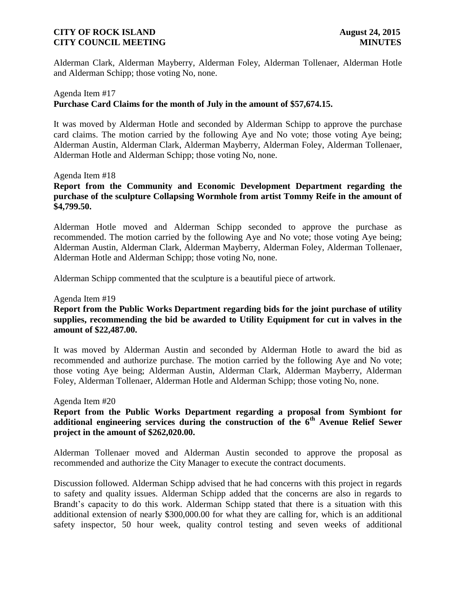Alderman Clark, Alderman Mayberry, Alderman Foley, Alderman Tollenaer, Alderman Hotle and Alderman Schipp; those voting No, none.

### Agenda Item #17 **Purchase Card Claims for the month of July in the amount of \$57,674.15.**

It was moved by Alderman Hotle and seconded by Alderman Schipp to approve the purchase card claims. The motion carried by the following Aye and No vote; those voting Aye being; Alderman Austin, Alderman Clark, Alderman Mayberry, Alderman Foley, Alderman Tollenaer, Alderman Hotle and Alderman Schipp; those voting No, none.

#### Agenda Item #18

**Report from the Community and Economic Development Department regarding the purchase of the sculpture Collapsing Wormhole from artist Tommy Reife in the amount of \$4,799.50.** 

Alderman Hotle moved and Alderman Schipp seconded to approve the purchase as recommended. The motion carried by the following Aye and No vote; those voting Aye being; Alderman Austin, Alderman Clark, Alderman Mayberry, Alderman Foley, Alderman Tollenaer, Alderman Hotle and Alderman Schipp; those voting No, none.

Alderman Schipp commented that the sculpture is a beautiful piece of artwork.

#### Agenda Item #19

### **Report from the Public Works Department regarding bids for the joint purchase of utility supplies, recommending the bid be awarded to Utility Equipment for cut in valves in the amount of \$22,487.00.**

It was moved by Alderman Austin and seconded by Alderman Hotle to award the bid as recommended and authorize purchase. The motion carried by the following Aye and No vote; those voting Aye being; Alderman Austin, Alderman Clark, Alderman Mayberry, Alderman Foley, Alderman Tollenaer, Alderman Hotle and Alderman Schipp; those voting No, none.

#### Agenda Item #20

### **Report from the Public Works Department regarding a proposal from Symbiont for additional engineering services during the construction of the 6th Avenue Relief Sewer project in the amount of \$262,020.00.**

Alderman Tollenaer moved and Alderman Austin seconded to approve the proposal as recommended and authorize the City Manager to execute the contract documents.

Discussion followed. Alderman Schipp advised that he had concerns with this project in regards to safety and quality issues. Alderman Schipp added that the concerns are also in regards to Brandt's capacity to do this work. Alderman Schipp stated that there is a situation with this additional extension of nearly \$300,000.00 for what they are calling for, which is an additional safety inspector, 50 hour week, quality control testing and seven weeks of additional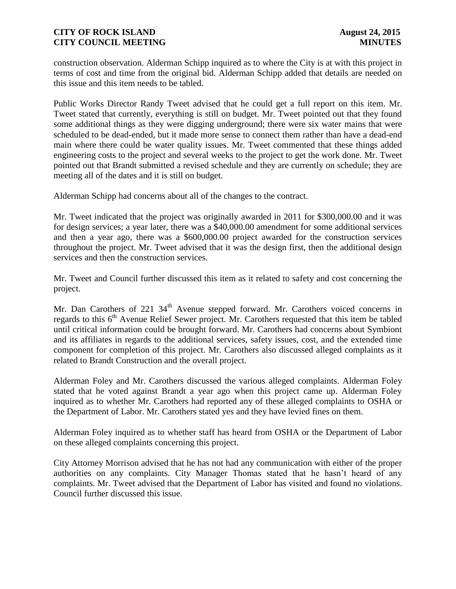construction observation. Alderman Schipp inquired as to where the City is at with this project in terms of cost and time from the original bid. Alderman Schipp added that details are needed on this issue and this item needs to be tabled.

Public Works Director Randy Tweet advised that he could get a full report on this item. Mr. Tweet stated that currently, everything is still on budget. Mr. Tweet pointed out that they found some additional things as they were digging underground; there were six water mains that were scheduled to be dead-ended, but it made more sense to connect them rather than have a dead-end main where there could be water quality issues. Mr. Tweet commented that these things added engineering costs to the project and several weeks to the project to get the work done. Mr. Tweet pointed out that Brandt submitted a revised schedule and they are currently on schedule; they are meeting all of the dates and it is still on budget.

Alderman Schipp had concerns about all of the changes to the contract.

Mr. Tweet indicated that the project was originally awarded in 2011 for \$300,000.00 and it was for design services; a year later, there was a \$40,000.00 amendment for some additional services and then a year ago, there was a \$600,000.00 project awarded for the construction services throughout the project. Mr. Tweet advised that it was the design first, then the additional design services and then the construction services.

Mr. Tweet and Council further discussed this item as it related to safety and cost concerning the project.

Mr. Dan Carothers of  $221 \, 34<sup>th</sup>$  Avenue stepped forward. Mr. Carothers voiced concerns in regards to this  $6<sup>th</sup>$  Avenue Relief Sewer project. Mr. Carothers requested that this item be tabled until critical information could be brought forward. Mr. Carothers had concerns about Symbiont and its affiliates in regards to the additional services, safety issues, cost, and the extended time component for completion of this project. Mr. Carothers also discussed alleged complaints as it related to Brandt Construction and the overall project.

Alderman Foley and Mr. Carothers discussed the various alleged complaints. Alderman Foley stated that he voted against Brandt a year ago when this project came up. Alderman Foley inquired as to whether Mr. Carothers had reported any of these alleged complaints to OSHA or the Department of Labor. Mr. Carothers stated yes and they have levied fines on them.

Alderman Foley inquired as to whether staff has heard from OSHA or the Department of Labor on these alleged complaints concerning this project.

City Attorney Morrison advised that he has not had any communication with either of the proper authorities on any complaints. City Manager Thomas stated that he hasn't heard of any complaints. Mr. Tweet advised that the Department of Labor has visited and found no violations. Council further discussed this issue.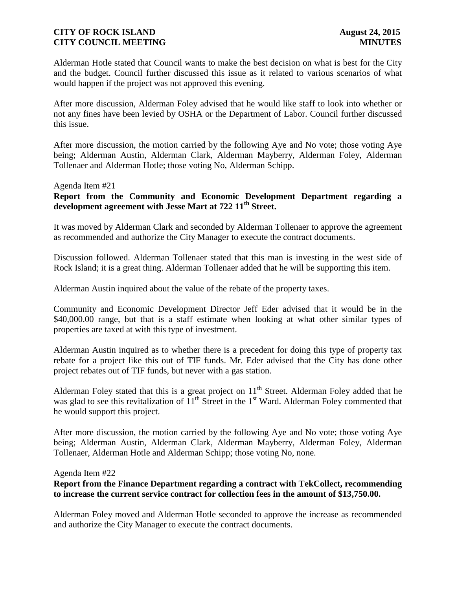Alderman Hotle stated that Council wants to make the best decision on what is best for the City and the budget. Council further discussed this issue as it related to various scenarios of what would happen if the project was not approved this evening.

After more discussion, Alderman Foley advised that he would like staff to look into whether or not any fines have been levied by OSHA or the Department of Labor. Council further discussed this issue.

After more discussion, the motion carried by the following Aye and No vote; those voting Aye being; Alderman Austin, Alderman Clark, Alderman Mayberry, Alderman Foley, Alderman Tollenaer and Alderman Hotle; those voting No, Alderman Schipp.

#### Agenda Item #21

### **Report from the Community and Economic Development Department regarding a development agreement with Jesse Mart at 722 11th Street.**

It was moved by Alderman Clark and seconded by Alderman Tollenaer to approve the agreement as recommended and authorize the City Manager to execute the contract documents.

Discussion followed. Alderman Tollenaer stated that this man is investing in the west side of Rock Island; it is a great thing. Alderman Tollenaer added that he will be supporting this item.

Alderman Austin inquired about the value of the rebate of the property taxes.

Community and Economic Development Director Jeff Eder advised that it would be in the \$40,000.00 range, but that is a staff estimate when looking at what other similar types of properties are taxed at with this type of investment.

Alderman Austin inquired as to whether there is a precedent for doing this type of property tax rebate for a project like this out of TIF funds. Mr. Eder advised that the City has done other project rebates out of TIF funds, but never with a gas station.

Alderman Foley stated that this is a great project on  $11<sup>th</sup>$  Street. Alderman Foley added that he was glad to see this revitalization of  $11<sup>th</sup>$  Street in the 1<sup>st</sup> Ward. Alderman Foley commented that he would support this project.

After more discussion, the motion carried by the following Aye and No vote; those voting Aye being; Alderman Austin, Alderman Clark, Alderman Mayberry, Alderman Foley, Alderman Tollenaer, Alderman Hotle and Alderman Schipp; those voting No, none.

#### Agenda Item #22

### **Report from the Finance Department regarding a contract with TekCollect, recommending to increase the current service contract for collection fees in the amount of \$13,750.00.**

Alderman Foley moved and Alderman Hotle seconded to approve the increase as recommended and authorize the City Manager to execute the contract documents.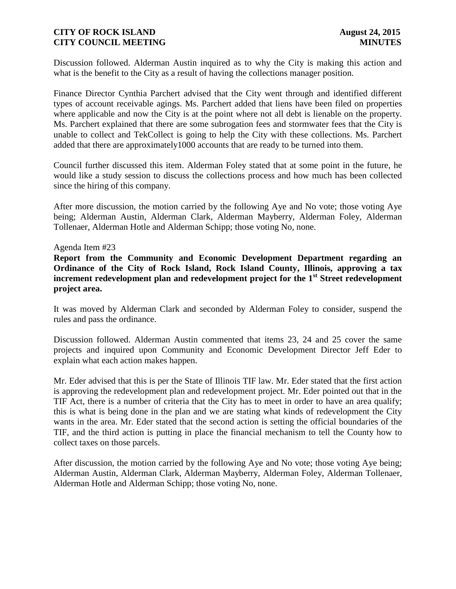Discussion followed. Alderman Austin inquired as to why the City is making this action and what is the benefit to the City as a result of having the collections manager position.

Finance Director Cynthia Parchert advised that the City went through and identified different types of account receivable agings. Ms. Parchert added that liens have been filed on properties where applicable and now the City is at the point where not all debt is lienable on the property. Ms. Parchert explained that there are some subrogation fees and stormwater fees that the City is unable to collect and TekCollect is going to help the City with these collections. Ms. Parchert added that there are approximately1000 accounts that are ready to be turned into them.

Council further discussed this item. Alderman Foley stated that at some point in the future, he would like a study session to discuss the collections process and how much has been collected since the hiring of this company.

After more discussion, the motion carried by the following Aye and No vote; those voting Aye being; Alderman Austin, Alderman Clark, Alderman Mayberry, Alderman Foley, Alderman Tollenaer, Alderman Hotle and Alderman Schipp; those voting No, none.

#### Agenda Item #23

**Report from the Community and Economic Development Department regarding an Ordinance of the City of Rock Island, Rock Island County, Illinois, approving a tax increment redevelopment plan and redevelopment project for the 1st Street redevelopment project area.** 

It was moved by Alderman Clark and seconded by Alderman Foley to consider, suspend the rules and pass the ordinance.

Discussion followed. Alderman Austin commented that items 23, 24 and 25 cover the same projects and inquired upon Community and Economic Development Director Jeff Eder to explain what each action makes happen.

Mr. Eder advised that this is per the State of Illinois TIF law. Mr. Eder stated that the first action is approving the redevelopment plan and redevelopment project. Mr. Eder pointed out that in the TIF Act, there is a number of criteria that the City has to meet in order to have an area qualify; this is what is being done in the plan and we are stating what kinds of redevelopment the City wants in the area. Mr. Eder stated that the second action is setting the official boundaries of the TIF, and the third action is putting in place the financial mechanism to tell the County how to collect taxes on those parcels.

After discussion, the motion carried by the following Aye and No vote; those voting Aye being; Alderman Austin, Alderman Clark, Alderman Mayberry, Alderman Foley, Alderman Tollenaer, Alderman Hotle and Alderman Schipp; those voting No, none.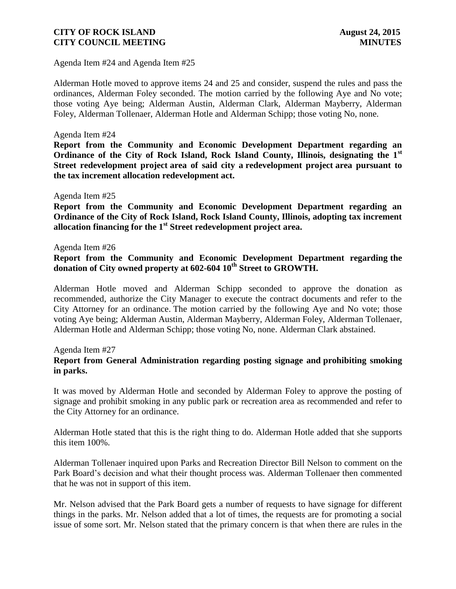Agenda Item #24 and Agenda Item #25

Alderman Hotle moved to approve items 24 and 25 and consider, suspend the rules and pass the ordinances, Alderman Foley seconded. The motion carried by the following Aye and No vote; those voting Aye being; Alderman Austin, Alderman Clark, Alderman Mayberry, Alderman Foley, Alderman Tollenaer, Alderman Hotle and Alderman Schipp; those voting No, none.

#### Agenda Item #24

**Report from the Community and Economic Development Department regarding an Ordinance of the City of Rock Island, Rock Island County, Illinois, designating the 1st Street redevelopment project area of said city a redevelopment project area pursuant to the tax increment allocation redevelopment act.** 

#### Agenda Item #25

**Report from the Community and Economic Development Department regarding an Ordinance of the City of Rock Island, Rock Island County, Illinois, adopting tax increment allocation financing for the 1st Street redevelopment project area.**

#### Agenda Item #26

#### **Report from the Community and Economic Development Department regarding the donation of City owned property at 602-604 10th Street to GROWTH.**

Alderman Hotle moved and Alderman Schipp seconded to approve the donation as recommended, authorize the City Manager to execute the contract documents and refer to the City Attorney for an ordinance. The motion carried by the following Aye and No vote; those voting Aye being; Alderman Austin, Alderman Mayberry, Alderman Foley, Alderman Tollenaer, Alderman Hotle and Alderman Schipp; those voting No, none. Alderman Clark abstained.

#### Agenda Item #27

### **Report from General Administration regarding posting signage and prohibiting smoking in parks.**

It was moved by Alderman Hotle and seconded by Alderman Foley to approve the posting of signage and prohibit smoking in any public park or recreation area as recommended and refer to the City Attorney for an ordinance.

Alderman Hotle stated that this is the right thing to do. Alderman Hotle added that she supports this item 100%.

Alderman Tollenaer inquired upon Parks and Recreation Director Bill Nelson to comment on the Park Board's decision and what their thought process was. Alderman Tollenaer then commented that he was not in support of this item.

Mr. Nelson advised that the Park Board gets a number of requests to have signage for different things in the parks. Mr. Nelson added that a lot of times, the requests are for promoting a social issue of some sort. Mr. Nelson stated that the primary concern is that when there are rules in the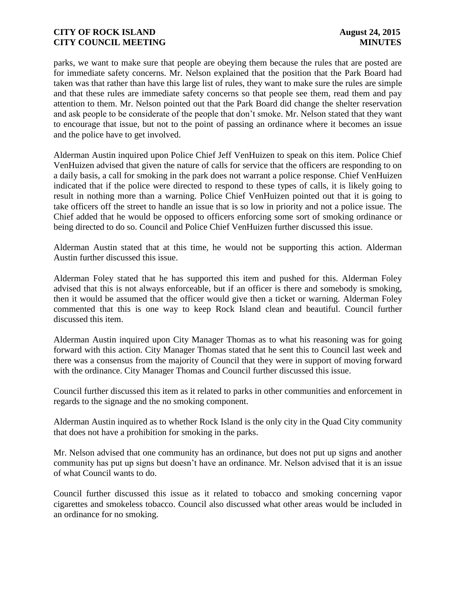parks, we want to make sure that people are obeying them because the rules that are posted are for immediate safety concerns. Mr. Nelson explained that the position that the Park Board had taken was that rather than have this large list of rules, they want to make sure the rules are simple and that these rules are immediate safety concerns so that people see them, read them and pay attention to them. Mr. Nelson pointed out that the Park Board did change the shelter reservation and ask people to be considerate of the people that don't smoke. Mr. Nelson stated that they want to encourage that issue, but not to the point of passing an ordinance where it becomes an issue and the police have to get involved.

Alderman Austin inquired upon Police Chief Jeff VenHuizen to speak on this item. Police Chief VenHuizen advised that given the nature of calls for service that the officers are responding to on a daily basis, a call for smoking in the park does not warrant a police response. Chief VenHuizen indicated that if the police were directed to respond to these types of calls, it is likely going to result in nothing more than a warning. Police Chief VenHuizen pointed out that it is going to take officers off the street to handle an issue that is so low in priority and not a police issue. The Chief added that he would be opposed to officers enforcing some sort of smoking ordinance or being directed to do so. Council and Police Chief VenHuizen further discussed this issue.

Alderman Austin stated that at this time, he would not be supporting this action. Alderman Austin further discussed this issue.

Alderman Foley stated that he has supported this item and pushed for this. Alderman Foley advised that this is not always enforceable, but if an officer is there and somebody is smoking, then it would be assumed that the officer would give then a ticket or warning. Alderman Foley commented that this is one way to keep Rock Island clean and beautiful. Council further discussed this item.

Alderman Austin inquired upon City Manager Thomas as to what his reasoning was for going forward with this action. City Manager Thomas stated that he sent this to Council last week and there was a consensus from the majority of Council that they were in support of moving forward with the ordinance. City Manager Thomas and Council further discussed this issue.

Council further discussed this item as it related to parks in other communities and enforcement in regards to the signage and the no smoking component.

Alderman Austin inquired as to whether Rock Island is the only city in the Quad City community that does not have a prohibition for smoking in the parks.

Mr. Nelson advised that one community has an ordinance, but does not put up signs and another community has put up signs but doesn't have an ordinance. Mr. Nelson advised that it is an issue of what Council wants to do.

Council further discussed this issue as it related to tobacco and smoking concerning vapor cigarettes and smokeless tobacco. Council also discussed what other areas would be included in an ordinance for no smoking.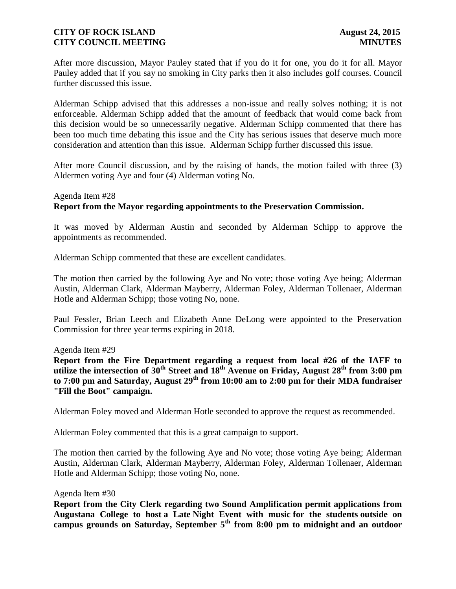After more discussion, Mayor Pauley stated that if you do it for one, you do it for all. Mayor Pauley added that if you say no smoking in City parks then it also includes golf courses. Council further discussed this issue.

Alderman Schipp advised that this addresses a non-issue and really solves nothing; it is not enforceable. Alderman Schipp added that the amount of feedback that would come back from this decision would be so unnecessarily negative. Alderman Schipp commented that there has been too much time debating this issue and the City has serious issues that deserve much more consideration and attention than this issue. Alderman Schipp further discussed this issue.

After more Council discussion, and by the raising of hands, the motion failed with three (3) Aldermen voting Aye and four (4) Alderman voting No.

### Agenda Item #28 **Report from the Mayor regarding appointments to the Preservation Commission.**

It was moved by Alderman Austin and seconded by Alderman Schipp to approve the appointments as recommended.

Alderman Schipp commented that these are excellent candidates.

The motion then carried by the following Aye and No vote; those voting Aye being; Alderman Austin, Alderman Clark, Alderman Mayberry, Alderman Foley, Alderman Tollenaer, Alderman Hotle and Alderman Schipp; those voting No, none.

Paul Fessler, Brian Leech and Elizabeth Anne DeLong were appointed to the Preservation Commission for three year terms expiring in 2018.

Agenda Item #29

**Report from the Fire Department regarding a request from local #26 of the IAFF to utilize the intersection of 30th Street and 18th Avenue on Friday, August 28th from 3:00 pm to 7:00 pm and Saturday, August 29th from 10:00 am to 2:00 pm for their MDA fundraiser "Fill the Boot" campaign.**

Alderman Foley moved and Alderman Hotle seconded to approve the request as recommended.

Alderman Foley commented that this is a great campaign to support.

The motion then carried by the following Aye and No vote; those voting Aye being; Alderman Austin, Alderman Clark, Alderman Mayberry, Alderman Foley, Alderman Tollenaer, Alderman Hotle and Alderman Schipp; those voting No, none.

#### Agenda Item #30

**Report from the City Clerk regarding two Sound Amplification permit applications from Augustana College to host a Late Night Event with music for the students outside on campus grounds on Saturday, September 5th from 8:00 pm to midnight and an outdoor**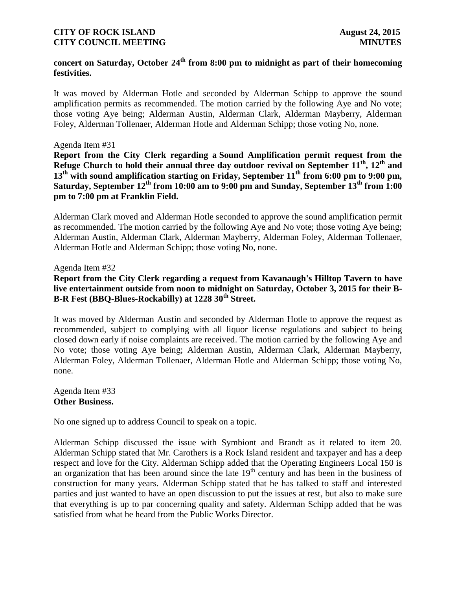# **concert on Saturday, October 24th from 8:00 pm to midnight as part of their homecoming festivities.**

It was moved by Alderman Hotle and seconded by Alderman Schipp to approve the sound amplification permits as recommended. The motion carried by the following Aye and No vote; those voting Aye being; Alderman Austin, Alderman Clark, Alderman Mayberry, Alderman Foley, Alderman Tollenaer, Alderman Hotle and Alderman Schipp; those voting No, none.

#### Agenda Item #31

**Report from the City Clerk regarding a Sound Amplification permit request from the Refuge Church to hold their annual three day outdoor revival on September 11th , 12th and 13th with sound amplification starting on Friday, September 11th from 6:00 pm to 9:00 pm, Saturday, September 12th from 10:00 am to 9:00 pm and Sunday, September 13th from 1:00 pm to 7:00 pm at Franklin Field.**

Alderman Clark moved and Alderman Hotle seconded to approve the sound amplification permit as recommended. The motion carried by the following Aye and No vote; those voting Aye being; Alderman Austin, Alderman Clark, Alderman Mayberry, Alderman Foley, Alderman Tollenaer, Alderman Hotle and Alderman Schipp; those voting No, none.

Agenda Item #32

**Report from the City Clerk regarding a request from Kavanaugh's Hilltop Tavern to have live entertainment outside from noon to midnight on Saturday, October 3, 2015 for their B-B-R Fest (BBQ-Blues-Rockabilly) at 1228 30th Street.**

It was moved by Alderman Austin and seconded by Alderman Hotle to approve the request as recommended, subject to complying with all liquor license regulations and subject to being closed down early if noise complaints are received. The motion carried by the following Aye and No vote; those voting Aye being; Alderman Austin, Alderman Clark, Alderman Mayberry, Alderman Foley, Alderman Tollenaer, Alderman Hotle and Alderman Schipp; those voting No, none.

Agenda Item #33 **Other Business.**

No one signed up to address Council to speak on a topic.

Alderman Schipp discussed the issue with Symbiont and Brandt as it related to item 20. Alderman Schipp stated that Mr. Carothers is a Rock Island resident and taxpayer and has a deep respect and love for the City. Alderman Schipp added that the Operating Engineers Local 150 is an organization that has been around since the late  $19<sup>th</sup>$  century and has been in the business of construction for many years. Alderman Schipp stated that he has talked to staff and interested parties and just wanted to have an open discussion to put the issues at rest, but also to make sure that everything is up to par concerning quality and safety. Alderman Schipp added that he was satisfied from what he heard from the Public Works Director.